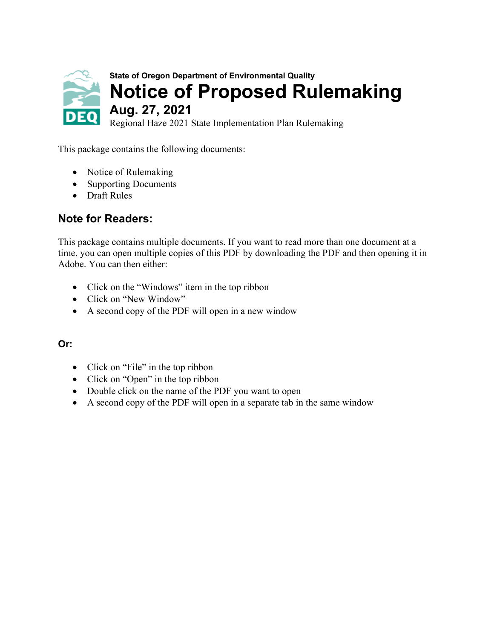

This package contains the following documents:

- Notice of Rulemaking
- [Supporting Documents](#page-23-0)
- [Draft Rules](#page-24-0)

### **Note for Readers:**

This package contains multiple documents. If you want to read more than one document at a time, you can open multiple copies of this PDF by downloading the PDF and then opening it in Adobe. You can then either:

- Click on the "Windows" item in the top ribbon
- Click on "New Window"
- A second copy of the PDF will open in a new window

#### **Or:**

- Click on "File" in the top ribbon
- Click on "Open" in the top ribbon
- Double click on the name of the PDF you want to open
- A second copy of the PDF will open in a separate tab in the same window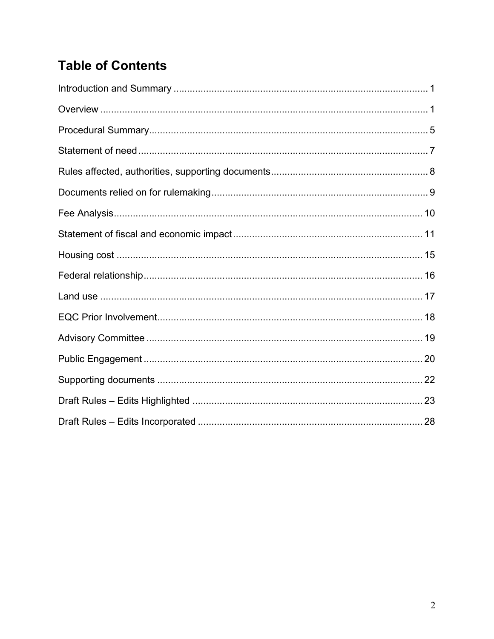# **Table of Contents**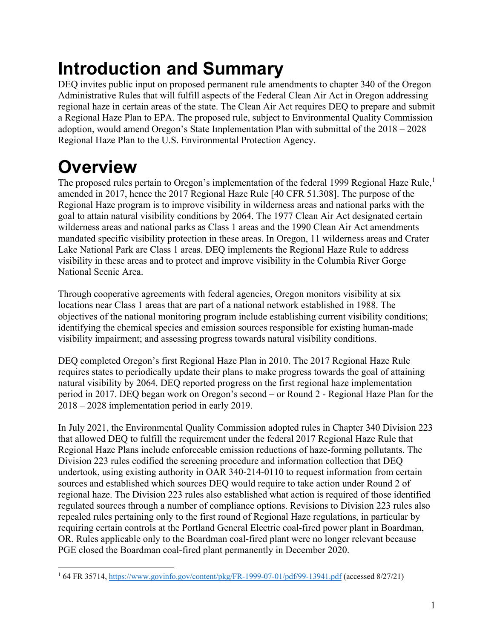# <span id="page-2-0"></span>**Introduction and Summary**

DEQ invites public input on proposed permanent rule amendments to chapter 340 of the Oregon Administrative Rules that will fulfill aspects of the Federal Clean Air Act in Oregon addressing regional haze in certain areas of the state. The Clean Air Act requires DEQ to prepare and submit a Regional Haze Plan to EPA. The proposed rule, subject to Environmental Quality Commission adoption, would amend Oregon's State Implementation Plan with submittal of the 2018 – 2028 Regional Haze Plan to the U.S. Environmental Protection Agency.

# <span id="page-2-1"></span>**Overview**

The proposed rules pertain to Oregon's implementation of the federal [1](#page-2-2)999 Regional Haze Rule,<sup>1</sup> amended in 2017, hence the 2017 Regional Haze Rule [40 CFR 51.308]. The purpose of the Regional Haze program is to improve visibility in wilderness areas and national parks with the goal to attain natural visibility conditions by 2064. The 1977 Clean Air Act designated certain wilderness areas and national parks as Class 1 areas and the 1990 Clean Air Act amendments mandated specific visibility protection in these areas. In Oregon, 11 wilderness areas and Crater Lake National Park are Class 1 areas. DEQ implements the Regional Haze Rule to address visibility in these areas and to protect and improve visibility in the Columbia River Gorge National Scenic Area.

Through cooperative agreements with federal agencies, Oregon monitors visibility at six locations near Class 1 areas that are part of a national network established in 1988. The objectives of the national monitoring program include establishing current visibility conditions; identifying the chemical species and emission sources responsible for existing human-made visibility impairment; and assessing progress towards natural visibility conditions.

DEQ completed Oregon's first Regional Haze Plan in 2010. The 2017 Regional Haze Rule requires states to periodically update their plans to make progress towards the goal of attaining natural visibility by 2064. DEQ reported progress on the first regional haze implementation period in 2017. DEQ began work on Oregon's second – or Round 2 - Regional Haze Plan for the 2018 – 2028 implementation period in early 2019.

In July 2021, the Environmental Quality Commission adopted rules in Chapter 340 Division 223 that allowed DEQ to fulfill the requirement under the federal 2017 Regional Haze Rule that Regional Haze Plans include enforceable emission reductions of haze-forming pollutants. The Division 223 rules codified the screening procedure and information collection that DEQ undertook, using existing authority in OAR 340-214-0110 to request information from certain sources and established which sources DEQ would require to take action under Round 2 of regional haze. The Division 223 rules also established what action is required of those identified regulated sources through a number of compliance options. Revisions to Division 223 rules also repealed rules pertaining only to the first round of Regional Haze regulations, in particular by requiring certain controls at the Portland General Electric coal-fired power plant in Boardman, OR. Rules applicable only to the Boardman coal-fired plant were no longer relevant because PGE closed the Boardman coal-fired plant permanently in December 2020.

<span id="page-2-2"></span><sup>1</sup> 64 FR 35714,<https://www.govinfo.gov/content/pkg/FR-1999-07-01/pdf/99-13941.pdf> (accessed 8/27/21)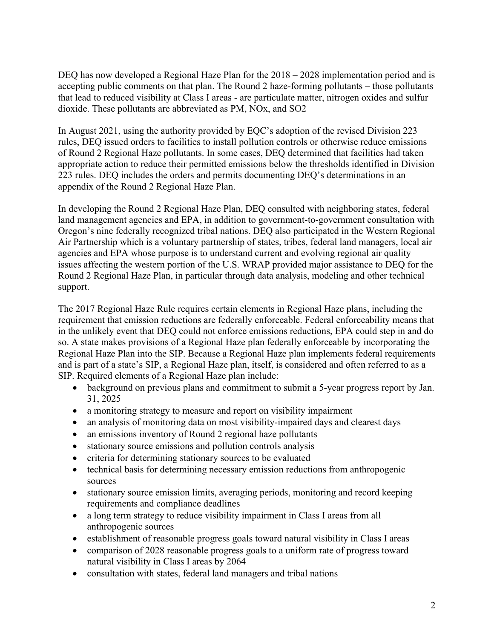DEQ has now developed a Regional Haze Plan for the  $2018 - 2028$  implementation period and is accepting public comments on that plan. The Round 2 haze-forming pollutants – those pollutants that lead to reduced visibility at Class I areas - are particulate matter, nitrogen oxides and sulfur dioxide. These pollutants are abbreviated as PM, NOx, and SO2

In August 2021, using the authority provided by EQC's adoption of the revised Division 223 rules, DEQ issued orders to facilities to install pollution controls or otherwise reduce emissions of Round 2 Regional Haze pollutants. In some cases, DEQ determined that facilities had taken appropriate action to reduce their permitted emissions below the thresholds identified in Division 223 rules. DEQ includes the orders and permits documenting DEQ's determinations in an appendix of the Round 2 Regional Haze Plan.

In developing the Round 2 Regional Haze Plan, DEQ consulted with neighboring states, federal land management agencies and EPA, in addition to government-to-government consultation with Oregon's nine federally recognized tribal nations. DEQ also participated in the Western Regional Air Partnership which is a voluntary partnership of states, tribes, federal land managers, local air agencies and EPA whose purpose is to understand current and evolving regional air quality issues affecting the western portion of the U.S. WRAP provided major assistance to DEQ for the Round 2 Regional Haze Plan, in particular through data analysis, modeling and other technical support.

The 2017 Regional Haze Rule requires certain elements in Regional Haze plans, including the requirement that emission reductions are federally enforceable. Federal enforceability means that in the unlikely event that DEQ could not enforce emissions reductions, EPA could step in and do so. A state makes provisions of a Regional Haze plan federally enforceable by incorporating the Regional Haze Plan into the SIP. Because a Regional Haze plan implements federal requirements and is part of a state's SIP, a Regional Haze plan, itself, is considered and often referred to as a SIP. Required elements of a Regional Haze plan include:

- background on previous plans and commitment to submit a 5-year progress report by Jan. 31, 2025
- a monitoring strategy to measure and report on visibility impairment
- an analysis of monitoring data on most visibility-impaired days and clearest days
- an emissions inventory of Round 2 regional haze pollutants
- stationary source emissions and pollution controls analysis
- criteria for determining stationary sources to be evaluated
- technical basis for determining necessary emission reductions from anthropogenic sources
- stationary source emission limits, averaging periods, monitoring and record keeping requirements and compliance deadlines
- a long term strategy to reduce visibility impairment in Class I areas from all anthropogenic sources
- establishment of reasonable progress goals toward natural visibility in Class I areas
- comparison of 2028 reasonable progress goals to a uniform rate of progress toward natural visibility in Class I areas by 2064
- consultation with states, federal land managers and tribal nations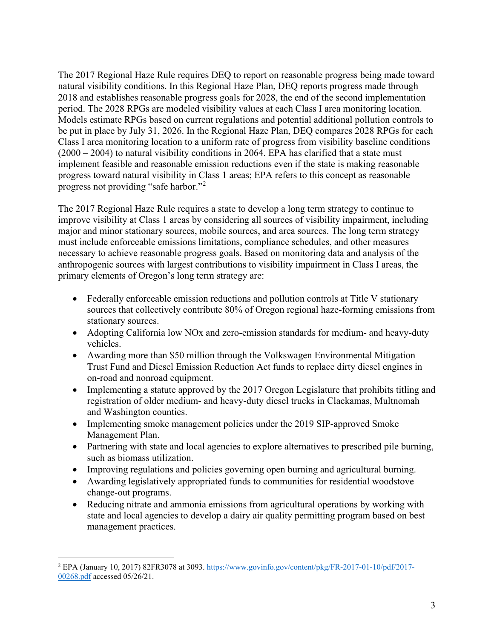The 2017 Regional Haze Rule requires DEQ to report on reasonable progress being made toward natural visibility conditions. In this Regional Haze Plan, DEQ reports progress made through 2018 and establishes reasonable progress goals for 2028, the end of the second implementation period. The 2028 RPGs are modeled visibility values at each Class I area monitoring location. Models estimate RPGs based on current regulations and potential additional pollution controls to be put in place by July 31, 2026. In the Regional Haze Plan, DEQ compares 2028 RPGs for each Class I area monitoring location to a uniform rate of progress from visibility baseline conditions  $(2000 - 2004)$  to natural visibility conditions in 2064. EPA has clarified that a state must implement feasible and reasonable emission reductions even if the state is making reasonable progress toward natural visibility in Class 1 areas; EPA refers to this concept as reasonable progress not providing "safe harbor."[2](#page-4-0)

The 2017 Regional Haze Rule requires a state to develop a long term strategy to continue to improve visibility at Class 1 areas by considering all sources of visibility impairment, including major and minor stationary sources, mobile sources, and area sources. The long term strategy must include enforceable emissions limitations, compliance schedules, and other measures necessary to achieve reasonable progress goals. Based on monitoring data and analysis of the anthropogenic sources with largest contributions to visibility impairment in Class I areas, the primary elements of Oregon's long term strategy are:

- Federally enforceable emission reductions and pollution controls at Title V stationary sources that collectively contribute 80% of Oregon regional haze-forming emissions from stationary sources.
- Adopting California low NOx and zero-emission standards for medium- and heavy-duty vehicles.
- Awarding more than \$50 million through the Volkswagen Environmental Mitigation Trust Fund and Diesel Emission Reduction Act funds to replace dirty diesel engines in on-road and nonroad equipment.
- Implementing a statute approved by the 2017 Oregon Legislature that prohibits titling and registration of older medium- and heavy-duty diesel trucks in Clackamas, Multnomah and Washington counties.
- Implementing smoke management policies under the 2019 SIP-approved Smoke Management Plan.
- Partnering with state and local agencies to explore alternatives to prescribed pile burning, such as biomass utilization.
- Improving regulations and policies governing open burning and agricultural burning.
- Awarding legislatively appropriated funds to communities for residential woodstove change-out programs.
- Reducing nitrate and ammonia emissions from agricultural operations by working with state and local agencies to develop a dairy air quality permitting program based on best management practices.

<span id="page-4-0"></span><sup>2</sup> EPA (January 10, 2017) 82FR3078 at 3093. [https://www.govinfo.gov/content/pkg/FR-2017-01-10/pdf/2017-](https://www.govinfo.gov/content/pkg/FR-2017-01-10/pdf/2017-00268.pdf) [00268.pdf](https://www.govinfo.gov/content/pkg/FR-2017-01-10/pdf/2017-00268.pdf) accessed 05/26/21.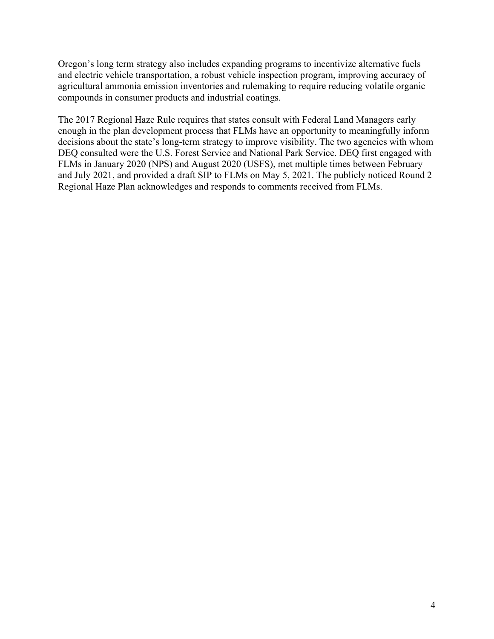Oregon's long term strategy also includes expanding programs to incentivize alternative fuels and electric vehicle transportation, a robust vehicle inspection program, improving accuracy of agricultural ammonia emission inventories and rulemaking to require reducing volatile organic compounds in consumer products and industrial coatings.

The 2017 Regional Haze Rule requires that states consult with Federal Land Managers early enough in the plan development process that FLMs have an opportunity to meaningfully inform decisions about the state's long-term strategy to improve visibility. The two agencies with whom DEQ consulted were the U.S. Forest Service and National Park Service. DEQ first engaged with FLMs in January 2020 (NPS) and August 2020 (USFS), met multiple times between February and July 2021, and provided a draft SIP to FLMs on May 5, 2021. The publicly noticed Round 2 Regional Haze Plan acknowledges and responds to comments received from FLMs.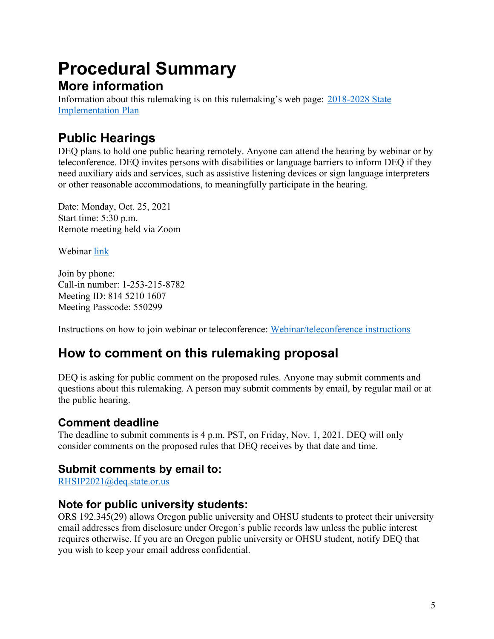# <span id="page-6-0"></span>**Procedural Summary More information**

Information about this rulemaking is on this rulemaking's web page: [2018-2028 State](https://www.oregon.gov/deq/Regulations/rulemaking/Pages/rhsip2028.aspx)  [Implementation Plan](https://www.oregon.gov/deq/Regulations/rulemaking/Pages/rhsip2028.aspx)

## **Public Hearings**

DEQ plans to hold one public hearing remotely. Anyone can attend the hearing by webinar or by teleconference. DEQ invites persons with disabilities or language barriers to inform DEQ if they need auxiliary aids and services, such as assistive listening devices or sign language interpreters or other reasonable accommodations, to meaningfully participate in the hearing.

Date: Monday, Oct. 25, 2021 Start time: 5:30 p.m. Remote meeting held via Zoom

Webinar [link](https://us02web.zoom.us/j/81452101607?pwd=ZE9BRTdGejcxR082YVV4bFJ6dzFPZz09)

Join by phone: Call-in number: 1-253-215-8782 Meeting ID: 814 5210 1607 Meeting Passcode: 550299

Instructions on how to join webinar or teleconference: [Webinar/teleconference instructions](https://support.zoom.us/hc/en-us/articles/201362193-Joining-a-meeting)

## **How to comment on this rulemaking proposal**

DEQ is asking for public comment on the proposed rules. Anyone may submit comments and questions about this rulemaking. A person may submit comments by email, by regular mail or at the public hearing.

## **Comment deadline**

The deadline to submit comments is 4 p.m. PST, on Friday, Nov. 1, 2021. DEQ will only consider comments on the proposed rules that DEQ receives by that date and time.

### **Submit comments by email to:**

[RHSIP2021@deq.state.or.us](mailto:RHSIP2021@deq.state.or.us)

### **Note for public university students:**

ORS 192.345(29) allows Oregon public university and OHSU students to protect their university email addresses from disclosure under Oregon's public records law unless the public interest requires otherwise. If you are an Oregon public university or OHSU student, notify DEQ that you wish to keep your email address confidential.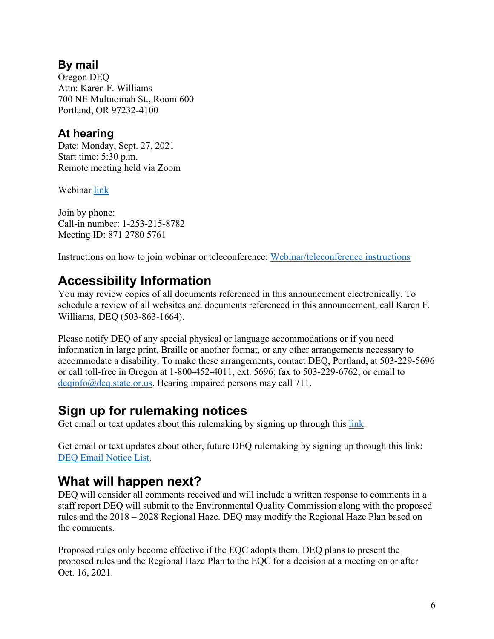### **By mail**

Oregon DEQ Attn: Karen F. Williams 700 NE Multnomah St., Room 600 Portland, OR 97232-4100

### **At hearing**

Date: Monday, Sept. 27, 2021 Start time: 5:30 p.m. Remote meeting held via Zoom

Webinar [link](https://us02web.zoom.us/j/87127805761?pwd=QWFnM0FSbkd6cThucXYwN1BUNFVIUT09)

Join by phone: Call-in number: 1-253-215-8782 Meeting ID: 871 2780 5761

Instructions on how to join webinar or teleconference: [Webinar/teleconference instructions](https://support.zoom.us/hc/en-us/articles/201362193-Joining-a-meeting)

## **Accessibility Information**

You may review copies of all documents referenced in this announcement electronically. To schedule a review of all websites and documents referenced in this announcement, call Karen F. Williams, DEQ (503-863-1664).

Please notify DEQ of any special physical or language accommodations or if you need information in large print, Braille or another format, or any other arrangements necessary to accommodate a disability. To make these arrangements, contact DEQ, Portland, at 503-229-5696 or call toll-free in Oregon at 1-800-452-4011, ext. 5696; fax to 503-229-6762; or email to [deqinfo@deq.state.or.us.](mailto:deqinfo@deq.state.or.us) Hearing impaired persons may call 711.

## **Sign up for rulemaking notices**

Get email or text updates about this rulemaking by signing up through this [link.](https://public.govdelivery.com/accounts/ORDEQ/subscriber/new?topic_id=ORDEQ_8)

Get email or text updates about other, future DEQ rulemaking by signing up through this link: [DEQ Email Notice List.](https://public.govdelivery.com/accounts/ORDEQ/subscriber/new?pop=t&topic_id=ORDEQ_548)

## **What will happen next?**

DEQ will consider all comments received and will include a written response to comments in a staff report DEQ will submit to the Environmental Quality Commission along with the proposed rules and the 2018 – 2028 Regional Haze. DEQ may modify the Regional Haze Plan based on the comments.

Proposed rules only become effective if the EQC adopts them. DEQ plans to present the proposed rules and the Regional Haze Plan to the EQC for a decision at a meeting on or after Oct. 16, 2021.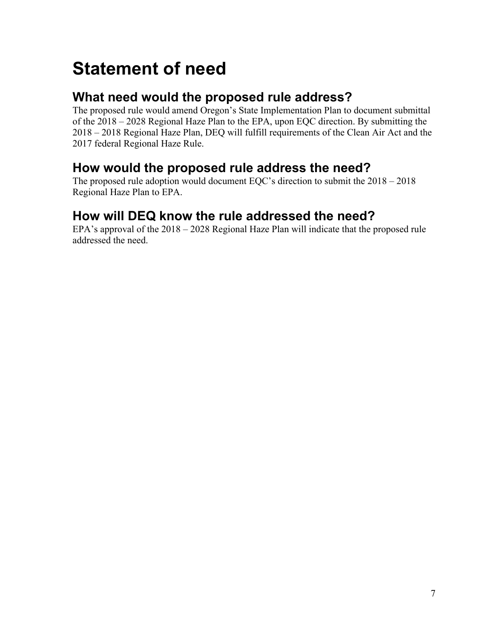# <span id="page-8-0"></span>**Statement of need**

## **What need would the proposed rule address?**

The proposed rule would amend Oregon's State Implementation Plan to document submittal of the 2018 – 2028 Regional Haze Plan to the EPA, upon EQC direction. By submitting the 2018 – 2018 Regional Haze Plan, DEQ will fulfill requirements of the Clean Air Act and the 2017 federal Regional Haze Rule.

## **How would the proposed rule address the need?**

The proposed rule adoption would document EQC's direction to submit the 2018 – 2018 Regional Haze Plan to EPA.

## **How will DEQ know the rule addressed the need?**

EPA's approval of the 2018 – 2028 Regional Haze Plan will indicate that the proposed rule addressed the need.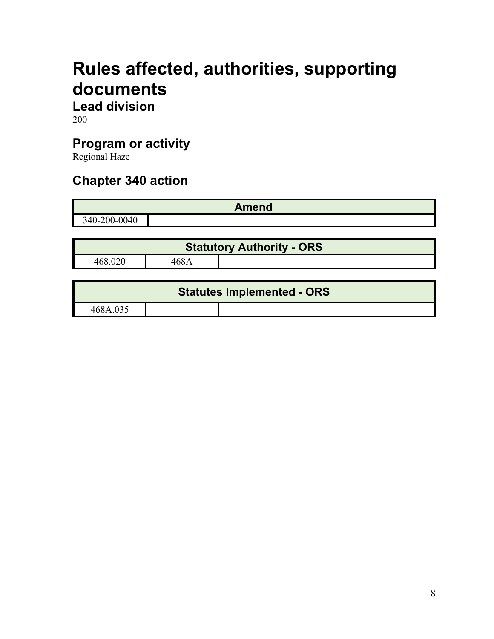# <span id="page-9-0"></span>**Rules affected, authorities, supporting documents**

**Lead division**

200

## **Program or activity**

Regional Haze

## **Chapter 340 action**

|              | <b>Amend</b>                                    |
|--------------|-------------------------------------------------|
| 340-200-0040 |                                                 |
|              |                                                 |
|              | .<br>. .<br>.<br>- -<br>$\sim$<br>$\sim$ $\sim$ |

| <b>Statutory Authority - ORS</b> |      |  |
|----------------------------------|------|--|
| 468.020                          | 468A |  |

| <b>Statutes Implemented - ORS</b> |  |  |
|-----------------------------------|--|--|
| 468A.035                          |  |  |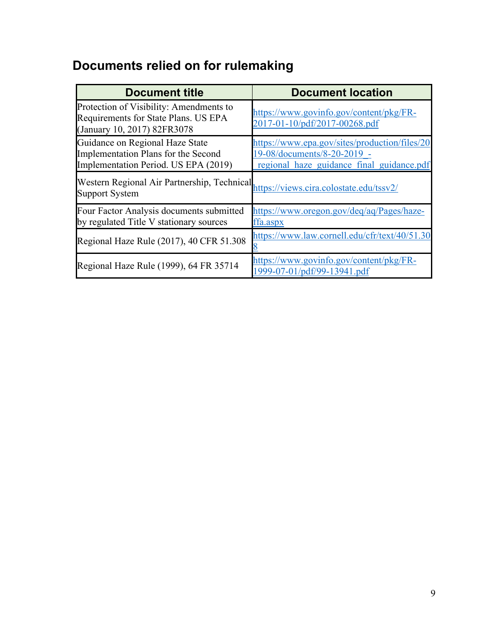# <span id="page-10-0"></span>**Documents relied on for rulemaking**

| <b>Document title</b>                                                                                          | <b>Document location</b>                                                                                                  |
|----------------------------------------------------------------------------------------------------------------|---------------------------------------------------------------------------------------------------------------------------|
| Protection of Visibility: Amendments to<br>Requirements for State Plans. US EPA<br>(January 10, 2017) 82FR3078 | https://www.govinfo.gov/content/pkg/FR-<br>2017-01-10/pdf/2017-00268.pdf                                                  |
| Guidance on Regional Haze State<br>Implementation Plans for the Second<br>Implementation Period. US EPA (2019) | https://www.epa.gov/sites/production/files/20<br>19-08/documents/8-20-2019 -<br>regional haze guidance final guidance.pdf |
| Western Regional Air Partnership, Technical,<br><b>Support System</b>                                          | https://views.cira.colostate.edu/tssv2/                                                                                   |
| Four Factor Analysis documents submitted<br>by regulated Title V stationary sources                            | https://www.oregon.gov/deq/aq/Pages/haze-<br>ffa.aspx                                                                     |
| Regional Haze Rule (2017), 40 CFR 51.308                                                                       | https://www.law.cornell.edu/cfr/text/40/51.30                                                                             |
| Regional Haze Rule (1999), 64 FR 35714                                                                         | https://www.govinfo.gov/content/pkg/FR-<br>1999-07-01/pdf/99-13941.pdf                                                    |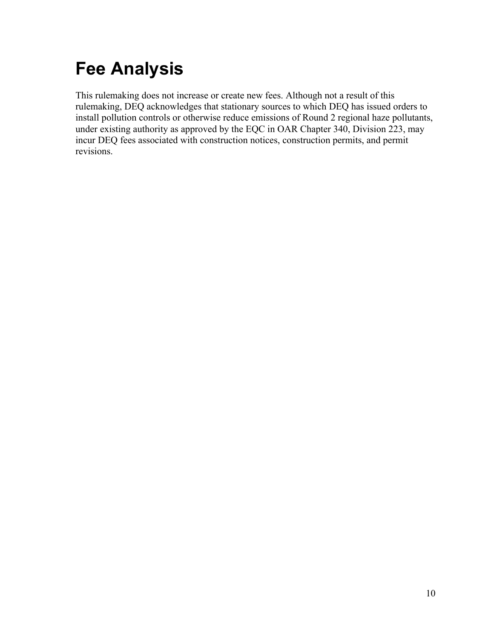# <span id="page-11-0"></span>**Fee Analysis**

This rulemaking does not increase or create new fees. Although not a result of this rulemaking, DEQ acknowledges that stationary sources to which DEQ has issued orders to install pollution controls or otherwise reduce emissions of Round 2 regional haze pollutants, under existing authority as approved by the EQC in OAR Chapter 340, Division 223, may incur DEQ fees associated with construction notices, construction permits, and permit revisions.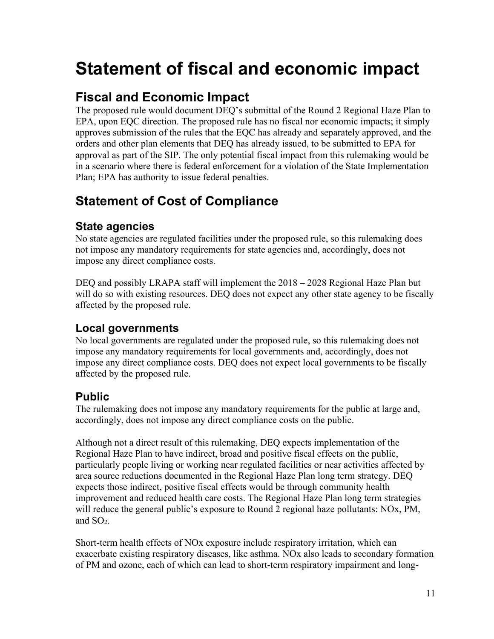# <span id="page-12-0"></span>**Statement of fiscal and economic impact**

## **Fiscal and Economic Impact**

The proposed rule would document DEQ's submittal of the Round 2 Regional Haze Plan to EPA, upon EQC direction. The proposed rule has no fiscal nor economic impacts; it simply approves submission of the rules that the EQC has already and separately approved, and the orders and other plan elements that DEQ has already issued, to be submitted to EPA for approval as part of the SIP. The only potential fiscal impact from this rulemaking would be in a scenario where there is federal enforcement for a violation of the State Implementation Plan; EPA has authority to issue federal penalties.

## **Statement of Cost of Compliance**

### **State agencies**

No state agencies are regulated facilities under the proposed rule, so this rulemaking does not impose any mandatory requirements for state agencies and, accordingly, does not impose any direct compliance costs.

DEQ and possibly LRAPA staff will implement the 2018 – 2028 Regional Haze Plan but will do so with existing resources. DEQ does not expect any other state agency to be fiscally affected by the proposed rule.

### **Local governments**

No local governments are regulated under the proposed rule, so this rulemaking does not impose any mandatory requirements for local governments and, accordingly, does not impose any direct compliance costs. DEQ does not expect local governments to be fiscally affected by the proposed rule.

### **Public**

The rulemaking does not impose any mandatory requirements for the public at large and, accordingly, does not impose any direct compliance costs on the public.

Although not a direct result of this rulemaking, DEQ expects implementation of the Regional Haze Plan to have indirect, broad and positive fiscal effects on the public, particularly people living or working near regulated facilities or near activities affected by area source reductions documented in the Regional Haze Plan long term strategy. DEQ expects those indirect, positive fiscal effects would be through community health improvement and reduced health care costs. The Regional Haze Plan long term strategies will reduce the general public's exposure to Round 2 regional haze pollutants: NOx, PM, and SO2.

Short-term health effects of NOx exposure include respiratory irritation, which can exacerbate existing respiratory diseases, like asthma. NOx also leads to secondary formation of PM and ozone, each of which can lead to short-term respiratory impairment and long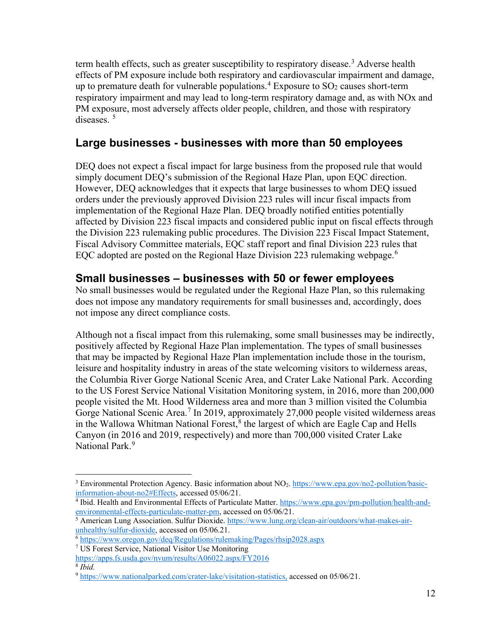term health effects, such as greater susceptibility to respiratory disease.<sup>[3](#page-13-0)</sup> Adverse health effects of PM exposure include both respiratory and cardiovascular impairment and damage, up to premature death for vulnerable populations.<sup>[4](#page-13-1)</sup> Exposure to  $SO_2$  causes short-term respiratory impairment and may lead to long-term respiratory damage and, as with NOx and PM exposure, most adversely affects older people, children, and those with respiratory diseases.<sup>[5](#page-13-2)</sup>

### **Large businesses - businesses with more than 50 employees**

DEQ does not expect a fiscal impact for large business from the proposed rule that would simply document DEQ's submission of the Regional Haze Plan, upon EQC direction. However, DEQ acknowledges that it expects that large businesses to whom DEQ issued orders under the previously approved Division 223 rules will incur fiscal impacts from implementation of the Regional Haze Plan. DEQ broadly notified entities potentially affected by Division 223 fiscal impacts and considered public input on fiscal effects through the Division 223 rulemaking public procedures. The Division 223 Fiscal Impact Statement, Fiscal Advisory Committee materials, EQC staff report and final Division 223 rules that EQC adopted are posted on the Regional Haze Division 223 rulemaking webpage.<sup>[6](#page-13-3)</sup>

### **Small businesses – businesses with 50 or fewer employees**

No small businesses would be regulated under the Regional Haze Plan, so this rulemaking does not impose any mandatory requirements for small businesses and, accordingly, does not impose any direct compliance costs.

Although not a fiscal impact from this rulemaking, some small businesses may be indirectly, positively affected by Regional Haze Plan implementation. The types of small businesses that may be impacted by Regional Haze Plan implementation include those in the tourism, leisure and hospitality industry in areas of the state welcoming visitors to wilderness areas, the Columbia River Gorge National Scenic Area, and Crater Lake National Park. According to the US Forest Service National Visitation Monitoring system, in 2016, more than 200,000 people visited the Mt. Hood Wilderness area and more than 3 million visited the Columbia Gorge National Scenic Area.<sup>[7](#page-13-4)</sup> In 2019, approximately 27,000 people visited wilderness areas in the Wallowa Whitman National Forest, $<sup>8</sup>$  $<sup>8</sup>$  $<sup>8</sup>$  the largest of which are Eagle Cap and Hells</sup> Canyon (in 2016 and 2019, respectively) and more than 700,000 visited Crater Lake National Park.<sup>[9](#page-13-6)</sup>

<span id="page-13-0"></span><sup>3</sup> Environmental Protection Agency. Basic information about NO2. [https://www.epa.gov/no2-pollution/basic](https://www.epa.gov/no2-pollution/basic-information-about-no2#Effects)[information-about-no2#Effects,](https://www.epa.gov/no2-pollution/basic-information-about-no2#Effects) accessed 05/06/21.

<span id="page-13-1"></span><sup>&</sup>lt;sup>4</sup> Ibid. Health and Environmental Effects of Particulate Matter. [https://www.epa.gov/pm-pollution/health-and](https://www.epa.gov/pm-pollution/health-and-environmental-effects-particulate-matter-pm)[environmental-effects-particulate-matter-pm,](https://www.epa.gov/pm-pollution/health-and-environmental-effects-particulate-matter-pm) accessed on 05/06/21.

<span id="page-13-2"></span><sup>5</sup> American Lung Association. Sulfur Dioxide. [https://www.lung.org/clean-air/outdoors/what-makes-air](https://www.lung.org/clean-air/outdoors/what-makes-air-unhealthy/sulfur-dioxide)[unhealthy/sulfur-dioxide,](https://www.lung.org/clean-air/outdoors/what-makes-air-unhealthy/sulfur-dioxide) accessed on 05/06.21.

<span id="page-13-3"></span><sup>6</sup> <https://www.oregon.gov/deq/Regulations/rulemaking/Pages/rhsip2028.aspx>

<span id="page-13-4"></span><sup>7</sup> US Forest Service, National Visitor Use Monitoring

<https://apps.fs.usda.gov/nvum/results/A06022.aspx/FY2016>

<span id="page-13-6"></span><span id="page-13-5"></span><sup>8</sup> *Ibid.*

<sup>9</sup> [https://www.nationalparked.com/crater-lake/visitation-statistics,](https://www.nationalparked.com/crater-lake/visitation-statistics) accessed on 05/06/21.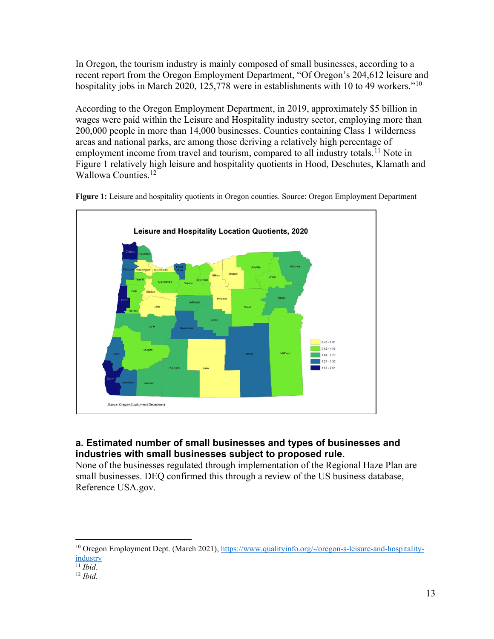In Oregon, the tourism industry is mainly composed of small businesses, according to a recent report from the Oregon Employment Department, "Of Oregon's 204,612 leisure and hospitality jobs in March 2020, 125,778 were in establishments with [10](#page-14-0) to 49 workers."<sup>10</sup>

According to the Oregon Employment Department, in 2019, approximately \$5 billion in wages were paid within the Leisure and Hospitality industry sector, employing more than 200,000 people in more than 14,000 businesses. Counties containing Class 1 wilderness areas and national parks, are among those deriving a relatively high percentage of employment income from travel and tourism, compared to all industry totals.<sup>[11](#page-14-1)</sup> Note in Figure 1 relatively high leisure and hospitality quotients in Hood, Deschutes, Klamath and Wallowa Counties.<sup>[12](#page-14-2)</sup>



**Figure 1:** Leisure and hospitality quotients in Oregon counties. Source: Oregon Employment Department

#### **a. Estimated number of small businesses and types of businesses and industries with small businesses subject to proposed rule.**

None of the businesses regulated through implementation of the Regional Haze Plan are small businesses. DEQ confirmed this through a review of the US business database, Reference USA.gov.

<span id="page-14-0"></span><sup>10</sup> Oregon Employment Dept. (March 2021), [https://www.qualityinfo.org/-/oregon-s-leisure-and-hospitality](https://www.qualityinfo.org/-/oregon-s-leisure-and-hospitality-industry)[industry](https://www.qualityinfo.org/-/oregon-s-leisure-and-hospitality-industry)

<span id="page-14-1"></span> $\overline{^{11}$  *Ibid.* 

<span id="page-14-2"></span><sup>12</sup> *Ibid.*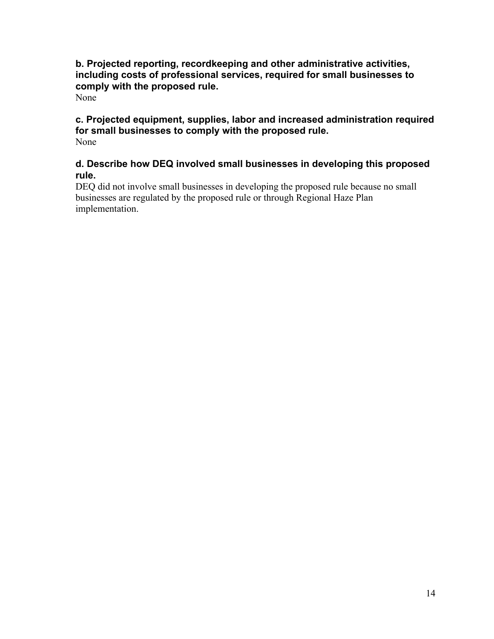#### **b. Projected reporting, recordkeeping and other administrative activities, including costs of professional services, required for small businesses to comply with the proposed rule.**

None

#### **c. Projected equipment, supplies, labor and increased administration required for small businesses to comply with the proposed rule.** None

#### **d. Describe how DEQ involved small businesses in developing this proposed rule.**

DEQ did not involve small businesses in developing the proposed rule because no small businesses are regulated by the proposed rule or through Regional Haze Plan implementation.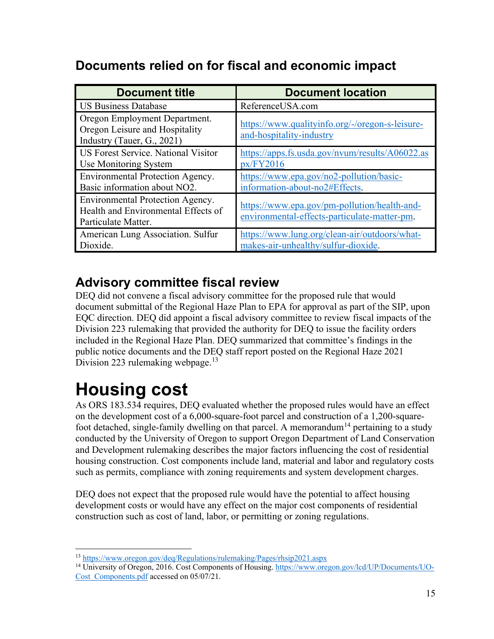## **Documents relied on for fiscal and economic impact**

| <b>Document title</b>                                                                          | <b>Document location</b>                                                                     |
|------------------------------------------------------------------------------------------------|----------------------------------------------------------------------------------------------|
| <b>US Business Database</b>                                                                    | ReferenceUSA.com                                                                             |
| Oregon Employment Department.<br>Oregon Leisure and Hospitality<br>Industry (Tauer, G., 2021)  | https://www.qualityinfo.org/-/oregon-s-leisure-<br>and-hospitality-industry                  |
| US Forest Service. National Visitor<br>Use Monitoring System                                   | https://apps.fs.usda.gov/nvum/results/A06022.as<br>px/FY2016                                 |
| Environmental Protection Agency.<br>Basic information about NO2.                               | https://www.epa.gov/no2-pollution/basic-<br>information-about-no2#Effects.                   |
| Environmental Protection Agency.<br>Health and Environmental Effects of<br>Particulate Matter. | https://www.epa.gov/pm-pollution/health-and-<br>environmental-effects-particulate-matter-pm. |
| American Lung Association. Sulfur<br>Dioxide.                                                  | https://www.lung.org/clean-air/outdoors/what-<br>makes-air-unhealthy/sulfur-dioxide.         |

## **Advisory committee fiscal review**

DEQ did not convene a fiscal advisory committee for the proposed rule that would document submittal of the Regional Haze Plan to EPA for approval as part of the SIP, upon EQC direction. DEQ did appoint a fiscal advisory committee to review fiscal impacts of the Division 223 rulemaking that provided the authority for DEQ to issue the facility orders included in the Regional Haze Plan. DEQ summarized that committee's findings in the public notice documents and the DEQ staff report posted on the Regional Haze 2021 Division 223 rulemaking webpage.<sup>[13](#page-16-1)</sup>

# <span id="page-16-0"></span>**Housing cost**

As ORS 183.534 requires, DEQ evaluated whether the proposed rules would have an effect on the development cost of a 6,000-square-foot parcel and construction of a 1,200-square-foot detached, single-family dwelling on that parcel. A memorandum<sup>[14](#page-16-2)</sup> pertaining to a study conducted by the University of Oregon to support Oregon Department of Land Conservation and Development rulemaking describes the major factors influencing the cost of residential housing construction. Cost components include land, material and labor and regulatory costs such as permits, compliance with zoning requirements and system development charges.

DEQ does not expect that the proposed rule would have the potential to affect housing development costs or would have any effect on the major cost components of residential construction such as cost of land, labor, or permitting or zoning regulations.

<span id="page-16-1"></span><sup>13</sup> <https://www.oregon.gov/deq/Regulations/rulemaking/Pages/rhsip2021.aspx>

<span id="page-16-2"></span><sup>14</sup> University of Oregon, 2016. Cost Components of Housing. [https://www.oregon.gov/lcd/UP/Documents/UO-](https://www.oregon.gov/lcd/UP/Documents/UO-Cost_Components.pdf)Cost Components.pdf accessed on 05/07/21.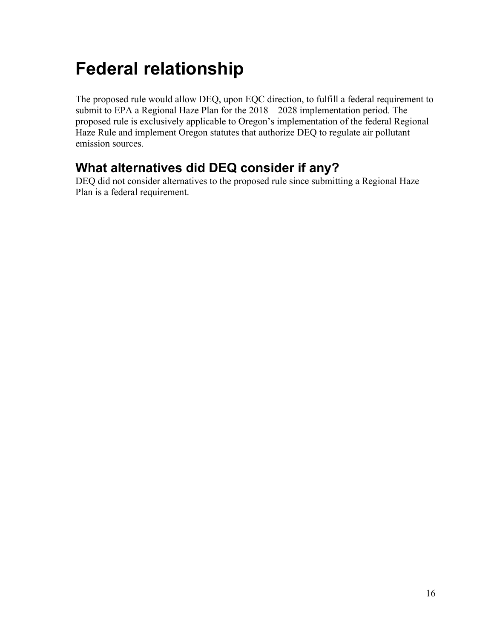# <span id="page-17-0"></span>**Federal relationship**

The proposed rule would allow DEQ, upon EQC direction, to fulfill a federal requirement to submit to EPA a Regional Haze Plan for the 2018 – 2028 implementation period. The proposed rule is exclusively applicable to Oregon's implementation of the federal Regional Haze Rule and implement Oregon statutes that authorize DEQ to regulate air pollutant emission sources.

## **What alternatives did DEQ consider if any?**

DEQ did not consider alternatives to the proposed rule since submitting a Regional Haze Plan is a federal requirement.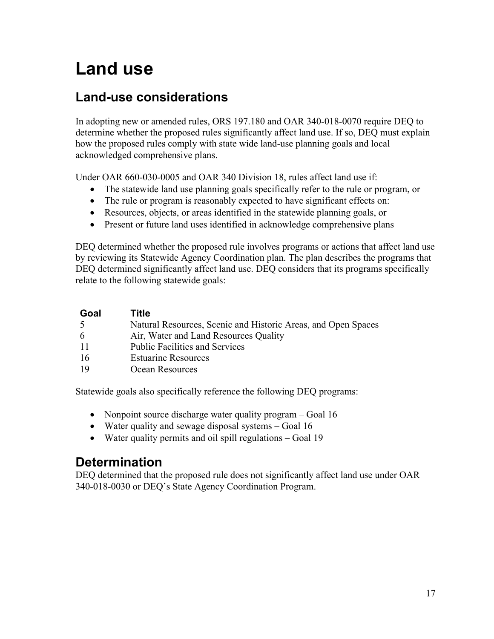# <span id="page-18-0"></span>**Land use**

## **Land-use considerations**

In adopting new or amended rules, ORS 197.180 and OAR 340-018-0070 require DEQ to determine whether the proposed rules significantly affect land use. If so, DEQ must explain how the proposed rules comply with state wide land-use planning goals and local acknowledged comprehensive plans.

Under OAR 660-030-0005 and OAR 340 Division 18, rules affect land use if:

- The statewide land use planning goals specifically refer to the rule or program, or
- The rule or program is reasonably expected to have significant effects on:
- Resources, objects, or areas identified in the statewide planning goals, or
- Present or future land uses identified in acknowledge comprehensive plans

DEQ determined whether the proposed rule involves programs or actions that affect land use by reviewing its Statewide Agency Coordination plan. The plan describes the programs that DEQ determined significantly affect land use. DEQ considers that its programs specifically relate to the following statewide goals:

| Goal | Title                                                         |
|------|---------------------------------------------------------------|
| -5   | Natural Resources, Scenic and Historic Areas, and Open Spaces |
| 6    | Air, Water and Land Resources Quality                         |
| -11  | <b>Public Facilities and Services</b>                         |
| -16  | <b>Estuarine Resources</b>                                    |
| -19  | Ocean Resources                                               |

Statewide goals also specifically reference the following DEQ programs:

- Nonpoint source discharge water quality program Goal 16
- Water quality and sewage disposal systems Goal 16
- Water quality permits and oil spill regulations Goal 19

## **Determination**

DEQ determined that the proposed rule does not significantly affect land use under OAR 340-018-0030 or DEQ's State Agency Coordination Program.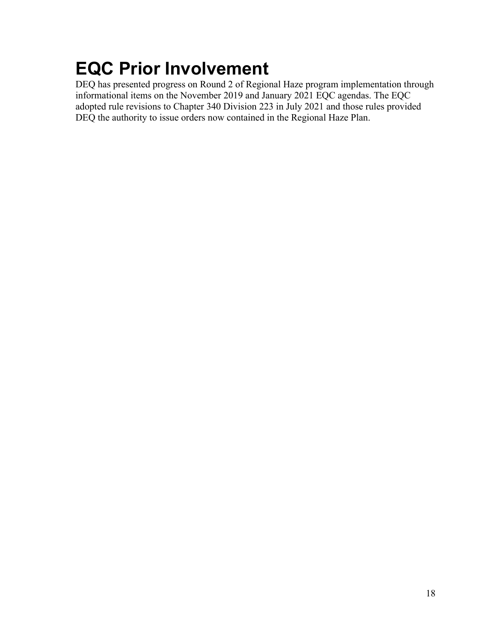# <span id="page-19-0"></span>**EQC Prior Involvement**

DEQ has presented progress on Round 2 of Regional Haze program implementation through informational items on the November 2019 and January 2021 EQC agendas. The EQC adopted rule revisions to Chapter 340 Division 223 in July 2021 and those rules provided DEQ the authority to issue orders now contained in the Regional Haze Plan.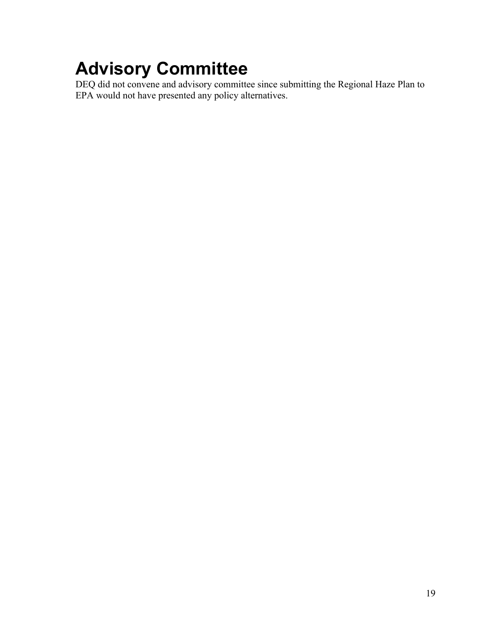# <span id="page-20-0"></span>**Advisory Committee**

DEQ did not convene and advisory committee since submitting the Regional Haze Plan to EPA would not have presented any policy alternatives.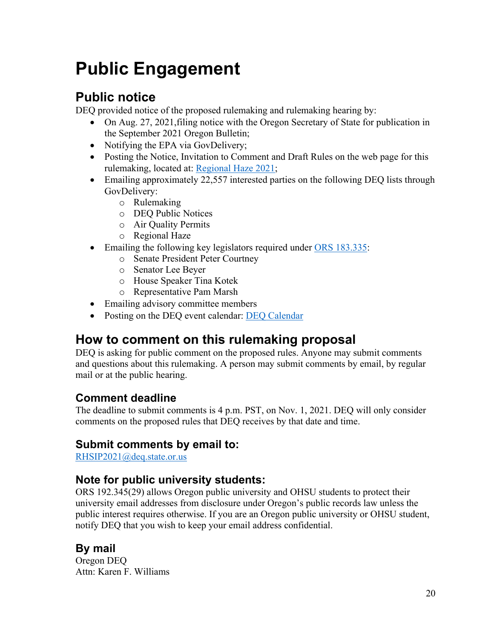# <span id="page-21-0"></span>**Public Engagement**

## **Public notice**

DEQ provided notice of the proposed rulemaking and rulemaking hearing by:

- On Aug. 27, 2021, filing notice with the Oregon Secretary of State for publication in the September 2021 Oregon Bulletin;
- Notifying the EPA via GovDelivery;
- Posting the Notice, Invitation to Comment and Draft Rules on the web page for this rulemaking, located at: [Regional Haze 2021;](https://www.oregon.gov/deq/Regulations/rulemaking/Pages/rhsip2021.aspx)
- Emailing approximately 22,557 interested parties on the following DEQ lists through GovDelivery:
	- o Rulemaking
	- o DEQ Public Notices
	- o Air Quality Permits
	- o Regional Haze
- Emailing the following key legislators required under [ORS 183.335:](http://www.leg.state.or.us/ors/183.html)
	- o Senate President Peter Courtney
	- o Senator Lee Beyer
	- o House Speaker Tina Kotek
	- o Representative Pam Marsh
- Emailing advisory committee members
- Posting on the DEQ event calendar: [DEQ Calendar](http://www.oregon.gov/deq/Get-Involved/Pages/Calendar.aspx)

## **How to comment on this rulemaking proposal**

DEQ is asking for public comment on the proposed rules. Anyone may submit comments and questions about this rulemaking. A person may submit comments by email, by regular mail or at the public hearing.

## **Comment deadline**

The deadline to submit comments is 4 p.m. PST, on Nov. 1, 2021. DEQ will only consider comments on the proposed rules that DEQ receives by that date and time.

## **Submit comments by email to:**

[RHSIP2021@deq.state.or.us](mailto:RHSIP2021@deq.state.or.us)

### **Note for public university students:**

ORS 192.345(29) allows Oregon public university and OHSU students to protect their university email addresses from disclosure under Oregon's public records law unless the public interest requires otherwise. If you are an Oregon public university or OHSU student, notify DEQ that you wish to keep your email address confidential.

## **By mail**

Oregon DEQ Attn: Karen F. Williams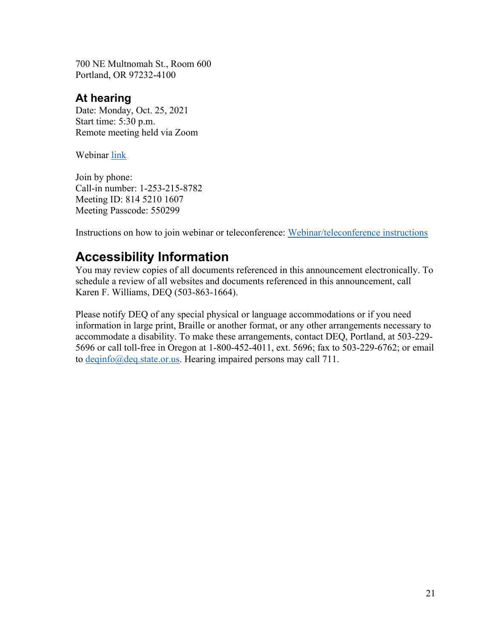700 NE Multnomah St., Room 600 Portland, OR 97232-4100

### **At hearing**

Date: Monday, Oct. 25, 2021 Start time: 5:30 p.m. Remote meeting held via Zoom

Webinar [link](https://us02web.zoom.us/j/81452101607?pwd=ZE9BRTdGejcxR082YVV4bFJ6dzFPZz09)

Join by phone: Call-in number: 1-253-215-8782 Meeting ID: 814 5210 1607 Meeting Passcode: 550299

Instructions on how to join webinar or teleconference: [Webinar/teleconference instructions](https://support.zoom.us/hc/en-us/articles/201362193-Joining-a-meeting)

## **Accessibility Information**

You may review copies of all documents referenced in this announcement electronically. To schedule a review of all websites and documents referenced in this announcement, call Karen F. Williams, DEQ (503-863-1664).

Please notify DEQ of any special physical or language accommodations or if you need information in large print, Braille or another format, or any other arrangements necessary to accommodate a disability. To make these arrangements, contact DEQ, Portland, at 503-229- 5696 or call toll-free in Oregon at 1-800-452-4011, ext. 5696; fax to 503-229-6762; or email to [deqinfo@deq.state.or.us.](mailto:deqinfo@deq.state.or.us) Hearing impaired persons may call 711.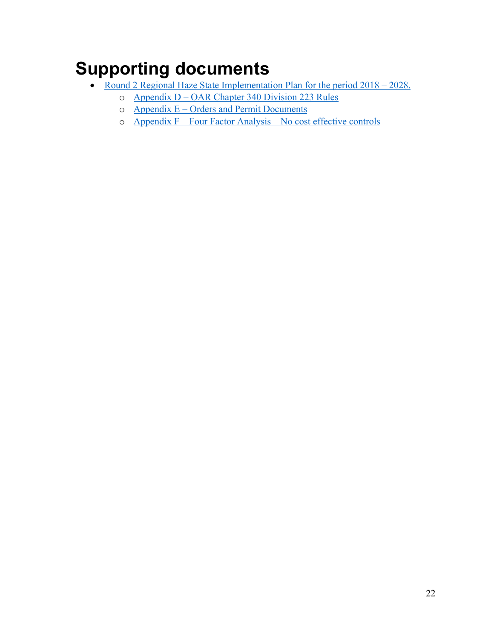# <span id="page-23-1"></span><span id="page-23-0"></span>**Supporting documents**

- Round 2 Regional Haze State Implementation Plan for the period  $2018 2028$ .
	- o Appendix D [OAR Chapter 340 Division 223 Rules](https://www.oregon.gov/deq/Regulations/rulemaking/RuleDocuments/RHSIP2021AppendixD.pdf)
	- $o$  Appendix  $E -$ [Orders and Permit Documents](https://www.oregon.gov/deq/Regulations/rulemaking/RuleDocuments/RHSIP2021AppendixE.pdf)
	- o Appendix F Four Factor Analysis [No cost effective controls](https://www.oregon.gov/deq/Regulations/rulemaking/RuleDocuments/RHSIP2021AppedixF.pdf)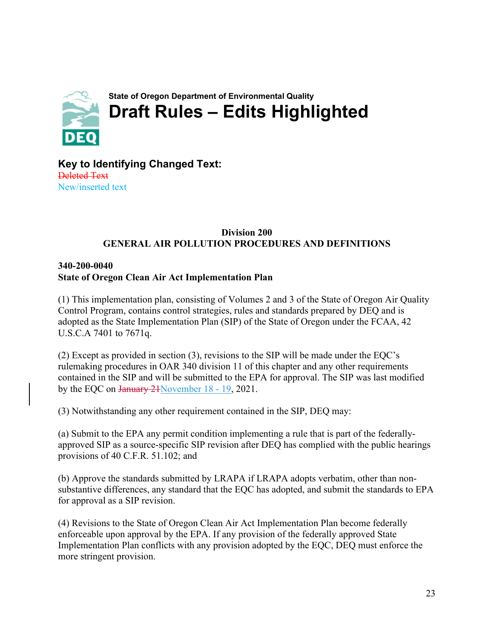<span id="page-24-1"></span><span id="page-24-0"></span>

**Key to Identifying Changed Text:** Deleted Text New/inserted text

#### **Division 200 GENERAL AIR POLLUTION PROCEDURES AND DEFINITIONS**

#### **340-200-0040 State of Oregon Clean Air Act Implementation Plan**

(1) This implementation plan, consisting of Volumes 2 and 3 of the State of Oregon Air Quality Control Program, contains control strategies, rules and standards prepared by DEQ and is adopted as the State Implementation Plan (SIP) of the State of Oregon under the FCAA, 42 U.S.C.A 7401 to 7671q.

(2) Except as provided in section (3), revisions to the SIP will be made under the EQC's rulemaking procedures in OAR 340 division 11 of this chapter and any other requirements contained in the SIP and will be submitted to the EPA for approval. The SIP was last modified by the EQC on January 21November 18 - 19, 2021.

(3) Notwithstanding any other requirement contained in the SIP, DEQ may:

(a) Submit to the EPA any permit condition implementing a rule that is part of the federallyapproved SIP as a source-specific SIP revision after DEQ has complied with the public hearings provisions of 40 C.F.R. 51.102; and

(b) Approve the standards submitted by LRAPA if LRAPA adopts verbatim, other than nonsubstantive differences, any standard that the EQC has adopted, and submit the standards to EPA for approval as a SIP revision.

(4) Revisions to the State of Oregon Clean Air Act Implementation Plan become federally enforceable upon approval by the EPA. If any provision of the federally approved State Implementation Plan conflicts with any provision adopted by the EQC, DEQ must enforce the more stringent provision.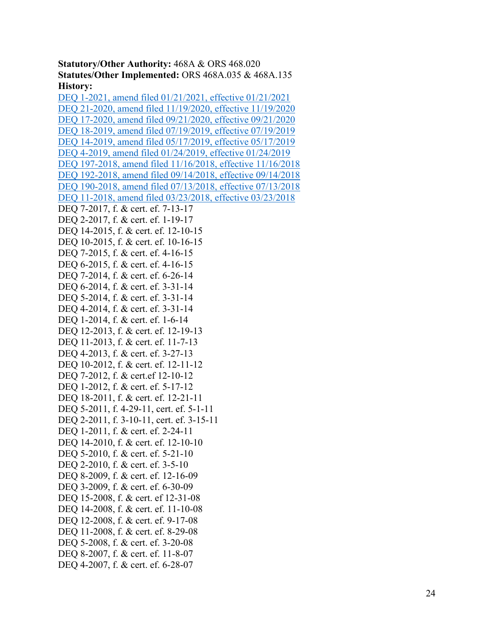**Statutory/Other Authority:** 468A & ORS 468.020 **Statutes/Other Implemented:** ORS 468A.035 & 468A.135 **History:**

DEQ 1 [-2021, amend filed 01/21/2021, effective 01/21/2021](https://secure.sos.state.or.us/oard/viewReceiptPDF.action?filingRsn=46689) DEQ 21 [-2020, amend filed 11/19/2020, effective 11/19/2020](https://secure.sos.state.or.us/oard/viewReceiptPDF.action?filingRsn=46177) DEQ 17 [-2020, amend filed 09/21/2020, effective 09/21/2020](https://secure.sos.state.or.us/oard/viewReceiptTRIM.action?ptId=7605231) DEQ 18 [-2019, amend filed 07/19/2019, effective 07/19/2019](https://secure.sos.state.or.us/oard/viewReceiptTRIM.action?ptId=6847093) DEQ 14 [-2019, amend filed 05/17/2019, effective 05/17/2019](https://secure.sos.state.or.us/oard/viewReceiptTRIM.action?ptId=6846858) DEQ 4 [-2019, amend filed 01/24/2019, effective 01/24/2019](https://secure.sos.state.or.us/oard/viewReceiptTRIM.action?ptId=6846538) DEQ 197 [-2018, amend filed 11/16/2018, effective 11/16/2018](https://secure.sos.state.or.us/oard/viewReceiptTRIM.action?ptId=6846110) DEQ 192 [-2018, amend filed 09/14/2018, effective 09/14/2018](https://secure.sos.state.or.us/oard/viewReceiptTRIM.action?ptId=6845845) DEQ 190 [-2018, amend filed 07/13/2018, effective 07/13/2018](https://secure.sos.state.or.us/oard/viewReceiptTRIM.action?ptId=6845587) DEQ 11 [-2018, amend filed 03/23/2018, effective 03/23/2018](https://secure.sos.state.or.us/oard/viewReceiptTRIM.action?ptId=6844385) DEQ 7 -2017, f. & cert. ef. 7 -13 -17 DEQ 2 -2017, f. & cert. ef. 1 -19 -17 DEQ 14-2015, f. & cert. ef. 12-10-15 DEQ 10-2015, f. & cert. ef. 10-16-15 DEQ 7-2015, f. & cert. ef. 4-16-15 DEQ 6 -2015, f. & cert. ef. 4 -16 -15 DEQ 7-2014, f. & cert. ef. 6-26-14 DEQ 6 -2014, f. & cert. ef. 3 -31 -14 DEQ 5 -2014, f. & cert. ef. 3 -31 -14 DEQ 4-2014, f. & cert. ef. 3-31-14 DEQ 1-2014, f. & cert. ef. 1-6-14 DEQ 12-2013, f. & cert. ef. 12-19-13 DEQ 11-2013, f. & cert. ef. 11-7-13 DEQ 4-2013, f. & cert. ef. 3-27-13 DEQ 10 -2012, f. & cert. ef. 12 -11 -12 DEQ 7 -2012, f. & cert.ef 12 -10 -12 DEQ 1 -2012, f. & cert. ef. 5 -17 -12 DEQ 18-2011, f. & cert. ef. 12-21-11 DEQ 5-2011, f. 4-29-11, cert. ef. 5-1-11 DEQ 2 -2011, f. 3 -10 -11, cert. ef. 3 -15 -11 DEQ 1-2011, f. & cert. ef. 2-24-11 DEQ 14-2010, f. & cert. ef. 12-10-10 DEQ 5 -2010, f. & cert. ef. 5 -21 -10 DEQ 2-2010, f. & cert. ef. 3-5-10 DEQ 8 -2009, f. & cert. ef. 12 -16 -09 DEQ 3 -2009, f. & cert. ef. 6 -30 -09 DEQ 15 -2008, f. & cert. ef 12 -31 -08 DEQ 14 -2008, f. & cert. ef. 11 -10 -08 DEQ 12-2008, f. & cert. ef. 9-17-08 DEQ 11-2008, f. & cert. ef. 8-29-08 DEQ 5-2008, f. & cert. ef. 3-20-08 DEQ 8 -2007, f. & cert. ef. 11 - 8 -07 DEQ 4 -2007, f. & cert. ef. 6 -28 -07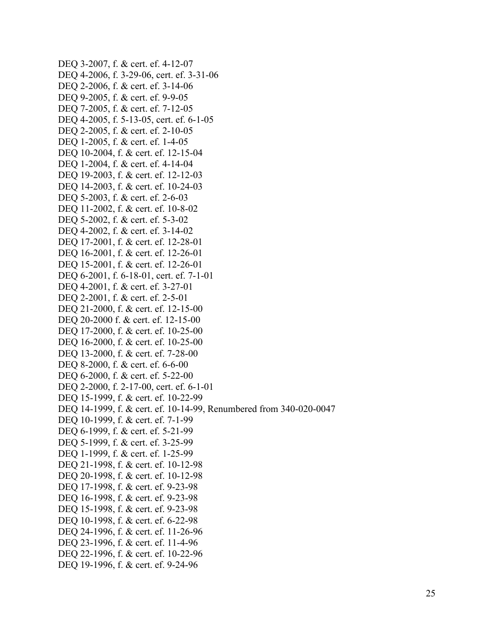```
DEQ 3-2007, f. & cert. ef. 4-12-07
DEQ 4-2006, f. 3-29-06, cert. ef. 3-31-06
DEQ 2-2006, f. & cert. ef. 3-14-06
DEQ 9-2005, f. & cert. ef. 9-9-05
DEQ 7-2005, f. & cert. ef. 7-12-05
DEQ 4-2005, f. 5-13-05, cert. ef. 6-1-05
DEQ 2-2005, f. & cert. ef. 2-10-05
DEQ 1-2005, f. & cert. ef. 1-4-05
DEQ 10-2004, f. & cert. ef. 12-15-04
DEQ 1-2004, f. & cert. ef. 4-14-04
DEQ 19-2003, f. & cert. ef. 12-12-03
DEQ 14-2003, f. & cert. ef. 10-24-03
DEQ 5-2003, f. & cert. ef. 2-6-03
DEQ 11-2002, f. & cert. ef. 10-8-02
DEQ 5-2002, f. & cert. ef. 5-3-02
DEQ 4-2002, f. & cert. ef. 3-14-02
DEQ 17-2001, f. & cert. ef. 12-28-01
DEQ 16-2001, f. & cert. ef. 12-26-01
DEQ 15-2001, f. & cert. ef. 12-26-01
DEQ 6-2001, f. 6-18-01, cert. ef. 7-1-01
DEQ 4-2001, f. & cert. ef. 3-27-01
DEQ 2-2001, f. & cert. ef. 2-5-01
DEQ 21-2000, f. & cert. ef. 12-15-00
DEQ 20-2000 f. & cert. ef. 12-15-00
DEQ 17-2000, f. & cert. ef. 10-25-00
DEQ 16-2000, f. & cert. ef. 10-25-00
DEQ 13-2000, f. & cert. ef. 7-28-00
DEQ 8-2000, f. & cert. ef. 6-6-00
DEQ 6-2000, f. & cert. ef. 5-22-00
DEQ 2-2000, f. 2-17-00, cert. ef. 6-1-01
DEQ 15-1999, f. & cert. ef. 10-22-99
DEQ 14-1999, f. & cert. ef. 10-14-99, Renumbered from 340-020-0047
DEQ 10-1999, f. & cert. ef. 7-1-99
DEQ 6-1999, f. & cert. ef. 5-21-99
DEQ 5-1999, f. & cert. ef. 3-25-99
DEQ 1-1999, f. & cert. ef. 1-25-99
DEQ 21-1998, f. & cert. ef. 10-12-98
DEQ 20-1998, f. & cert. ef. 10-12-98
DEQ 17-1998, f. & cert. ef. 9-23-98
DEQ 16-1998, f. & cert. ef. 9-23-98
DEQ 15-1998, f. & cert. ef. 9-23-98
DEQ 10-1998, f. & cert. ef. 6-22-98
DEQ 24-1996, f. & cert. ef. 11-26-96
DEQ 23-1996, f. & cert. ef. 11-4-96
DEQ 22-1996, f. & cert. ef. 10-22-96
DEQ 19-1996, f. & cert. ef. 9-24-96
```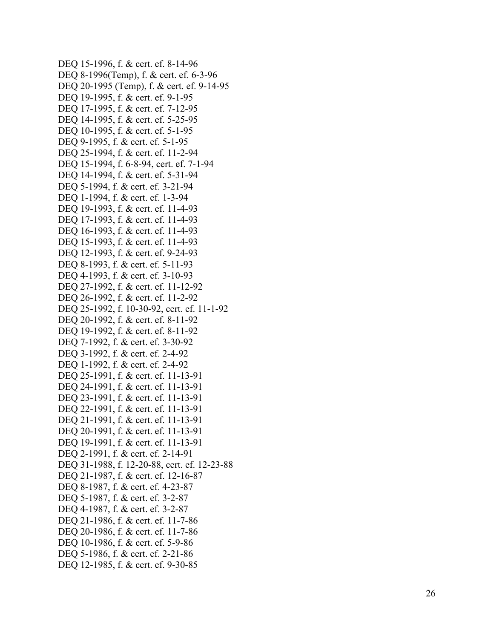```
DEQ 15
-1996, f. & cert. ef. 8
-14
-96
DEQ 8-1996(Temp), f. & cert. ef. 6-3-96
DEQ 20-1995 (Temp), f. & cert. ef. 9-14-95
DEQ 19-1995, f. & cert. ef. 9-1-95
DEQ 17
-1995, f. & cert. ef. 7
-12
-95
DEQ 14
-1995, f. & cert. ef. 5
-25
-95
DEQ 10-1995, f. & cert. ef. 5-1-95
DEQ 9-1995, f. & cert. ef. 5-1-95
DEQ 25-1994, f. & cert. ef. 11-2-94
DEQ 15-1994, f. 6-8-94, cert. ef. 7-1-94
DEQ 14
-1994, f. & cert. ef. 5
-31
-94
DEQ 5
-1994, f. & cert. ef. 3
-21
-94
DEQ 1-1994, f. & cert. ef. 1-3-94
DEQ 19-1993, f. & cert. ef. 11-4-93
DEQ 17-1993, f. & cert. ef. 11-4-93
DEQ 16-1993, f. & cert. ef. 11-4-93
DEQ 15-1993, f. & cert. ef. 11-4-93
DEQ 12-1993, f. & cert. ef. 9-24-93
DEQ 8
-1993, f. & cert. ef. 5
-11
-93
DEQ 4
-1993, f. & cert. ef. 3
-10
-93
DEQ 27
-1992, f. & cert. ef. 11
-12
-92
DEQ 26
-1992, f. & cert. ef. 11
-
2
-92
DEQ 25-1992, f. 10-30-92, cert. ef. 11-1-92
DEQ 20
-1992, f. & cert. ef. 8
-11
-92
DEQ 19
-1992, f. & cert. ef. 8
-11
-92
DEQ 7
-1992, f. & cert. ef. 3
-30
-92
DEQ 3-1992, f. & cert. ef. 2-4-92
DEQ 1-1992, f. & cert. ef. 2-4-92
DEQ 25
-1991, f. & cert. ef. 11
-13
-91
DEQ 24
-1991, f. & cert. ef. 11
-13
-91
DEQ 23
-1991, f. & cert. ef. 11
-13
-91
DEQ 22-1991, f. & cert. ef. 11-13-91
DEQ 21
-1991, f. & cert. ef. 11
-13
-91
DEQ 20
-1991, f. & cert. ef. 11
-13
-91
DEQ 19-1991, f. & cert. ef. 11-13-91
DEQ 2-1991, f. & cert. ef. 2-14-91
DEQ 31-1988, f. 12-20-88, cert. ef. 12-23-88
DEQ 21
-1987, f. & cert. ef. 12
-16
-87
DEQ 8
-1987, f. & cert. ef. 4
-23
-87
DEQ 5-1987, f. & cert. ef. 3-2-87
DEQ 4-1987, f. & cert. ef. 3-2-87
DEQ 21-1986, f. & cert. ef. 11-7-86
DEQ 20-1986, f. & cert. ef. 11-7-86
DEQ 10-1986, f. & cert. ef. 5-9-86
DEQ 5
-1986, f. & cert. ef. 2
-21
-86
DEQ 12
-1985, f. & cert. ef. 9
-30
-85
```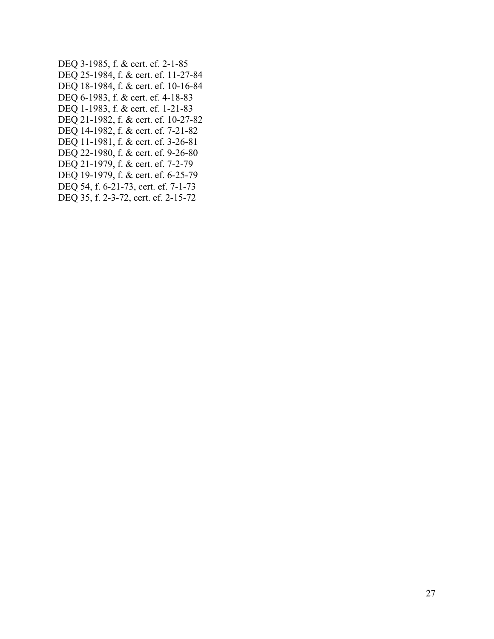DEQ 3-1985, f. & cert. ef. 2-1-85 DEQ 25-1984, f. & cert. ef. 11-27-84 DEQ 18-1984, f. & cert. ef. 10-16-84 DEQ 6-1983, f. & cert. ef. 4-18-83 DEQ 1-1983, f. & cert. ef. 1-21-83 DEQ 21-1982, f. & cert. ef. 10-27-82 DEQ 14-1982, f. & cert. ef. 7-21-82 DEQ 11-1981, f. & cert. ef. 3-26-81 DEQ 22-1980, f. & cert. ef. 9-26-80 DEQ 21-1979, f. & cert. ef. 7-2-79 DEQ 19-1979, f. & cert. ef. 6-25-79 DEQ 54, f. 6-21-73, cert. ef. 7-1-73 DEQ 35, f. 2-3-72, cert. ef. 2-15-72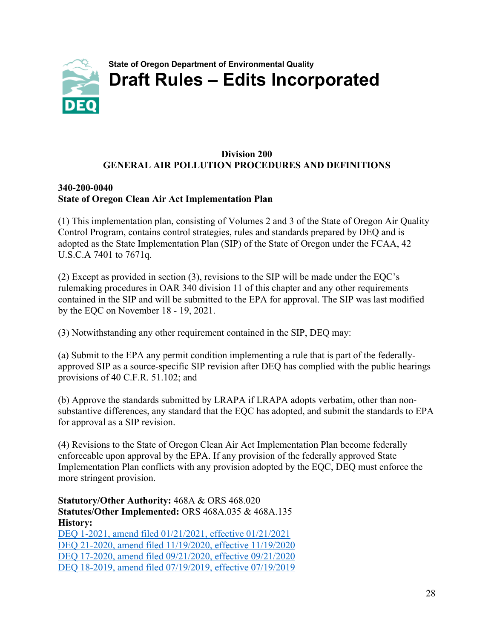<span id="page-29-0"></span>

#### **Division 200 GENERAL AIR POLLUTION PROCEDURES AND DEFINITIONS**

#### **340-200-0040 State of Oregon Clean Air Act Implementation Plan**

(1) This implementation plan, consisting of Volumes 2 and 3 of the State of Oregon Air Quality Control Program, contains control strategies, rules and standards prepared by DEQ and is adopted as the State Implementation Plan (SIP) of the State of Oregon under the FCAA, 42 U.S.C.A 7401 to 7671q.

(2) Except as provided in section (3), revisions to the SIP will be made under the EQC's rulemaking procedures in OAR 340 division 11 of this chapter and any other requirements contained in the SIP and will be submitted to the EPA for approval. The SIP was last modified by the EQC on November 18 - 19, 2021.

(3) Notwithstanding any other requirement contained in the SIP, DEQ may:

(a) Submit to the EPA any permit condition implementing a rule that is part of the federallyapproved SIP as a source-specific SIP revision after DEQ has complied with the public hearings provisions of 40 C.F.R. 51.102; and

(b) Approve the standards submitted by LRAPA if LRAPA adopts verbatim, other than nonsubstantive differences, any standard that the EQC has adopted, and submit the standards to EPA for approval as a SIP revision.

(4) Revisions to the State of Oregon Clean Air Act Implementation Plan become federally enforceable upon approval by the EPA. If any provision of the federally approved State Implementation Plan conflicts with any provision adopted by the EQC, DEQ must enforce the more stringent provision.

**Statutory/Other Authority:** 468A & ORS 468.020 **Statutes/Other Implemented:** ORS 468A.035 & 468A.135 **History:** [DEQ 1-2021, amend filed 01/21/2021, effective 01/21/2021](https://secure.sos.state.or.us/oard/viewReceiptPDF.action?filingRsn=46689) [DEQ 21-2020, amend filed 11/19/2020, effective 11/19/2020](https://secure.sos.state.or.us/oard/viewReceiptPDF.action?filingRsn=46177) [DEQ 17-2020, amend filed 09/21/2020, effective 09/21/2020](https://secure.sos.state.or.us/oard/viewReceiptTRIM.action?ptId=7605231) [DEQ 18-2019, amend filed 07/19/2019, effective 07/19/2019](https://secure.sos.state.or.us/oard/viewReceiptTRIM.action?ptId=6847093)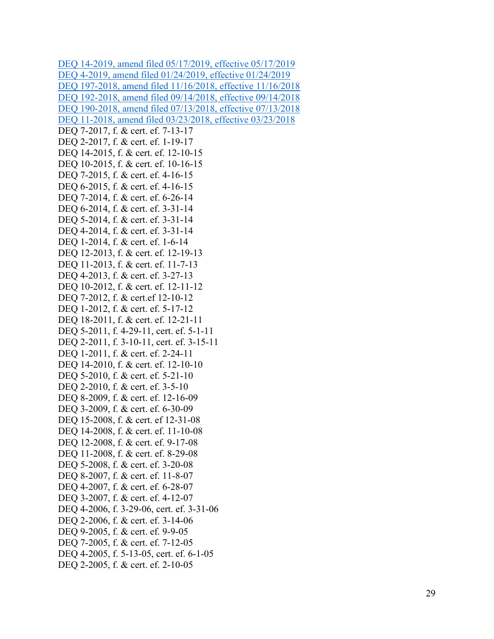DEQ 14 [-2019, amend filed 05/17/2019, effective 05/17/2019](https://secure.sos.state.or.us/oard/viewReceiptTRIM.action?ptId=6846858) DEQ 4 [-2019, amend filed 01/24/2019, effective 01/24/2019](https://secure.sos.state.or.us/oard/viewReceiptTRIM.action?ptId=6846538) DEQ 197 [-2018, amend filed 11/16/2018, effective 11/16/2018](https://secure.sos.state.or.us/oard/viewReceiptTRIM.action?ptId=6846110) DEQ 192 [-2018, amend filed 09/14/2018, effective 09/14/2018](https://secure.sos.state.or.us/oard/viewReceiptTRIM.action?ptId=6845845) DEQ 190 [-2018, amend filed 07/13/2018, effective 07/13/2018](https://secure.sos.state.or.us/oard/viewReceiptTRIM.action?ptId=6845587) DEQ 11 [-2018, amend filed 03/23/2018, effective 03/23/2018](https://secure.sos.state.or.us/oard/viewReceiptTRIM.action?ptId=6844385) DEQ 7 -2017, f. & cert. ef. 7 -13 -17 DEQ 2-2017, f. & cert. ef. 1-19-17 DEQ 14-2015, f. & cert. ef. 12-10-15 DEQ 10 -2015, f. & cert. ef. 10 -16 -15 DEQ 7-2015, f. & cert. ef. 4-16-15 DEQ 6 -2015, f. & cert. ef. 4 -16 -15 DEQ 7-2014, f. & cert. ef. 6-26-14 DEQ 6 -2014, f. & cert. ef. 3 -31 -14 DEQ 5 -2014, f. & cert. ef. 3 -31 -14 DEQ 4 -2014, f. & cert. ef. 3 -31 -14 DEQ 1-2014, f. & cert. ef. 1-6-14 DEQ 12-2013, f. & cert. ef. 12-19-13 DEQ 11-2013, f. & cert. ef. 11-7-13 DEQ 4 -2013, f. & cert. ef. 3 -27 -13 DEQ 10 -2012, f. & cert. ef. 12 -11 -12 DEQ 7 -2012, f. & cert.ef 12 -10 -12 DEQ 1-2012, f. & cert. ef. 5-17-12 DEQ 18-2011, f. & cert. ef. 12-21-11 DEQ 5-2011, f. 4-29-11, cert. ef. 5-1-11 DEQ 2 -2011, f. 3 -10 -11, cert. ef. 3 -15 -11 DEQ 1-2011, f. & cert. ef. 2-24-11 DEQ 14-2010, f. & cert. ef. 12-10-10 DEQ 5 -2010, f. & cert. ef. 5 -21 -10 DEQ 2-2010, f. & cert. ef. 3-5-10 DEQ 8 -2009, f. & cert. ef. 12 -16 -09 DEQ 3-2009, f. & cert. ef. 6-30-09 DEQ 15 -2008, f. & cert. ef 12 -31 -08 DEQ 14 -2008, f. & cert. ef. 11 -10 -08 DEQ 12 -2008, f. & cert. ef. 9 -17 -08 DEQ 11-2008, f. & cert. ef. 8-29-08 DEQ 5-2008, f. & cert. ef. 3-20-08 DEQ 8 -2007, f. & cert. ef. 11 - 8 -07 DEQ 4 -2007, f. & cert. ef. 6 -28 -07 DEQ 3 -2007, f. & cert. ef. 4 -12 -07 DEQ 4 -2006, f. 3 -29 -06, cert. ef. 3 -31 -06 DEQ 2-2006, f. & cert. ef. 3-14-06 DEQ 9-2005, f. & cert. ef. 9-9-05 DEQ 7 -2005, f. & cert. ef. 7 -12 -05 DEQ 4 -2005, f. 5 -13 -05, cert. ef. 6 - 1 -05 DEQ 2 -2005, f. & cert. ef. 2 -10 -05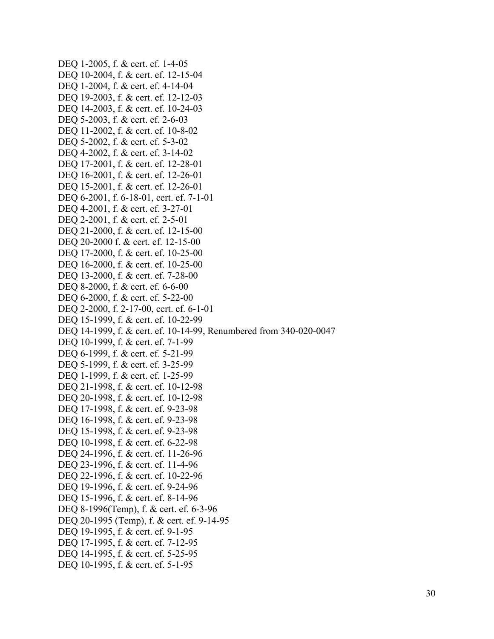DEQ 1-2005, f. & cert. ef. 1-4-05 DEQ 10-2004, f. & cert. ef. 12-15-04 DEQ 1-2004, f. & cert. ef. 4-14-04 DEQ 19-2003, f. & cert. ef. 12-12-03 DEQ 14-2003, f. & cert. ef. 10-24-03 DEQ 5-2003, f. & cert. ef. 2-6-03 DEQ 11-2002, f. & cert. ef. 10-8-02 DEQ 5-2002, f. & cert. ef. 5-3-02 DEQ 4-2002, f. & cert. ef. 3-14-02 DEQ 17-2001, f. & cert. ef. 12-28-01 DEQ 16-2001, f. & cert. ef. 12-26-01 DEQ 15-2001, f. & cert. ef. 12-26-01 DEQ 6-2001, f. 6-18-01, cert. ef. 7-1-01 DEQ 4-2001, f. & cert. ef. 3-27-01 DEQ 2-2001, f. & cert. ef. 2-5-01 DEQ 21-2000, f. & cert. ef. 12-15-00 DEQ 20-2000 f. & cert. ef. 12-15-00 DEQ 17-2000, f. & cert. ef. 10-25-00 DEQ 16-2000, f. & cert. ef. 10-25-00 DEQ 13-2000, f. & cert. ef. 7-28-00 DEQ 8-2000, f. & cert. ef. 6-6-00 DEQ 6-2000, f. & cert. ef. 5-22-00 DEQ 2-2000, f. 2-17-00, cert. ef. 6-1-01 DEQ 15-1999, f. & cert. ef. 10-22-99 DEQ 14-1999, f. & cert. ef. 10-14-99, Renumbered from 340-020-0047 DEQ 10-1999, f. & cert. ef. 7-1-99 DEQ 6-1999, f. & cert. ef. 5-21-99 DEQ 5-1999, f. & cert. ef. 3-25-99 DEQ 1-1999, f. & cert. ef. 1-25-99 DEQ 21-1998, f. & cert. ef. 10-12-98 DEQ 20-1998, f. & cert. ef. 10-12-98 DEQ 17-1998, f. & cert. ef. 9-23-98 DEQ 16-1998, f. & cert. ef. 9-23-98 DEQ 15-1998, f. & cert. ef. 9-23-98 DEQ 10-1998, f. & cert. ef. 6-22-98 DEQ 24-1996, f. & cert. ef. 11-26-96 DEQ 23-1996, f. & cert. ef. 11-4-96 DEQ 22-1996, f. & cert. ef. 10-22-96 DEQ 19-1996, f. & cert. ef. 9-24-96 DEO 15-1996, f. & cert. ef. 8-14-96 DEQ 8-1996(Temp), f. & cert. ef. 6-3-96 DEQ 20-1995 (Temp), f. & cert. ef. 9-14-95 DEQ 19-1995, f. & cert. ef. 9-1-95 DEQ 17-1995, f. & cert. ef. 7-12-95 DEQ 14-1995, f. & cert. ef. 5-25-95 DEQ 10-1995, f. & cert. ef. 5-1-95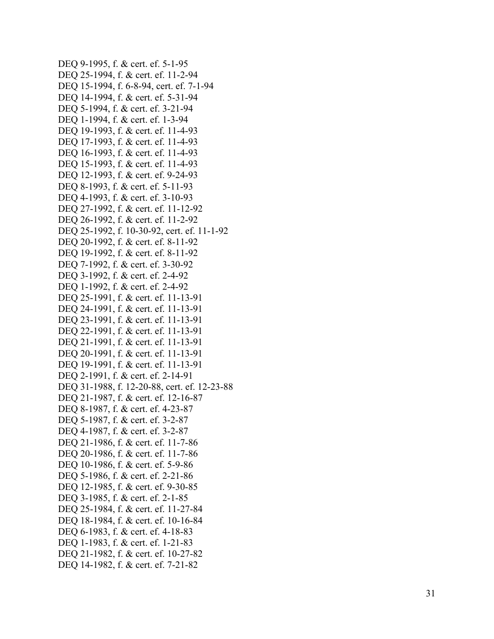```
DEQ 9-1995, f. & cert. ef. 5-1-95
DEQ 25-1994, f. & cert. ef. 11-2-94
DEQ 15-1994, f. 6-8-94, cert. ef. 7-1-94
DEQ 14
-1994, f. & cert. ef. 5
-31
-94
DEQ 5
-1994, f. & cert. ef. 3
-21
-94
DEQ 1-1994, f. & cert. ef. 1-3-94
DEQ 19-1993, f. & cert. ef. 11-4-93
DEQ 17-1993, f. & cert. ef. 11-4-93
DEQ 16-1993, f. & cert. ef. 11-4-93
DEQ 15-1993, f. & cert. ef. 11-4-93
DEQ 12-1993, f. & cert. ef. 9-24-93
DEQ 8
-1993, f. & cert. ef. 5
-11
-93
DEQ 4-1993, f. & cert. ef. 3-10-93
DEQ 27
-1992, f. & cert. ef. 11
-12
-92
DEQ 26-1992, f. & cert. ef. 11-2-92
DEQ 25
-1992, f. 10
-30
-92, cert. ef. 11
-
1
-92
DEQ 20
-1992, f. & cert. ef. 8
-11
-92
DEQ 19-1992, f. & cert. ef. 8-11-92
DEQ 7
-1992, f. & cert. ef. 3
-30
-92
DEQ 3-1992, f. & cert. ef. 2-4-92
DEQ 1-1992, f. & cert. ef. 2-4-92
DEQ 25
-1991, f. & cert. ef. 11
-13
-91
DEQ 24-1991, f. & cert. ef. 11-13-91
DEQ 23
-1991, f. & cert. ef. 11
-13
-91
DEQ 22
-1991, f. & cert. ef. 11
-13
-91
DEQ 21
-1991, f. & cert. ef. 11
-13
-91
DEQ 20-1991, f. & cert. ef. 11-13-91
DEQ 19-1991, f. & cert. ef. 11-13-91
DEQ 2-1991, f. & cert. ef. 2-14-91
DEQ 31
-1988, f. 12
-20
-88, cert. ef. 12
-23
-88
DEQ 21
-1987, f. & cert. ef. 12
-16
-87
DEQ 8-1987, f. & cert. ef. 4-23-87
DEQ 5-1987, f. & cert. ef. 3-2-87
DEQ 4-1987, f. & cert. ef. 3-2-87
DEQ 21-1986, f. & cert. ef. 11-7-86
DEQ 20-1986, f. & cert. ef. 11-7-86
DEQ 10-1986, f. & cert. ef. 5-9-86
DEQ 5
-1986, f. & cert. ef. 2
-21
-86
DEQ 12
-1985, f. & cert. ef. 9
-30
-85
DEQ 3-1985, f. & cert. ef. 2-1-85
DEQ 25
-1984, f. & cert. ef. 11
-27
-84
DEQ 18-1984, f. & cert. ef. 10-16-84
DEQ 6
-1983, f. & cert. ef. 4
-18
-83
DEQ 1-1983, f. & cert. ef. 1-21-83
DEQ 21
-1982, f. & cert. ef. 10
-27
-82
DEQ 14
-1982, f. & cert. ef. 7
-21
-82
```